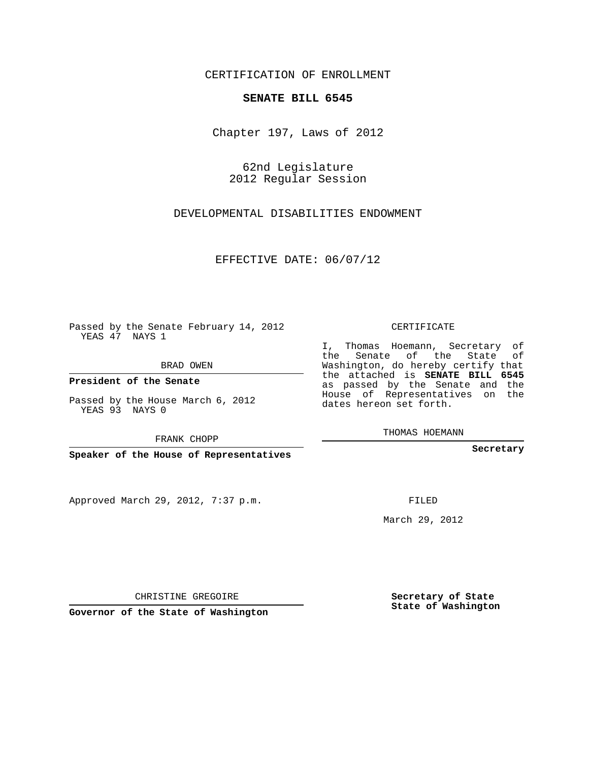## CERTIFICATION OF ENROLLMENT

## **SENATE BILL 6545**

Chapter 197, Laws of 2012

62nd Legislature 2012 Regular Session

DEVELOPMENTAL DISABILITIES ENDOWMENT

EFFECTIVE DATE: 06/07/12

Passed by the Senate February 14, 2012 YEAS 47 NAYS 1

BRAD OWEN

**President of the Senate**

Passed by the House March 6, 2012 YEAS 93 NAYS 0

FRANK CHOPP

**Speaker of the House of Representatives**

Approved March 29, 2012, 7:37 p.m.

CERTIFICATE

I, Thomas Hoemann, Secretary of the Senate of the State of Washington, do hereby certify that the attached is **SENATE BILL 6545** as passed by the Senate and the House of Representatives on the dates hereon set forth.

THOMAS HOEMANN

**Secretary**

FILED

March 29, 2012

**Secretary of State State of Washington**

CHRISTINE GREGOIRE

**Governor of the State of Washington**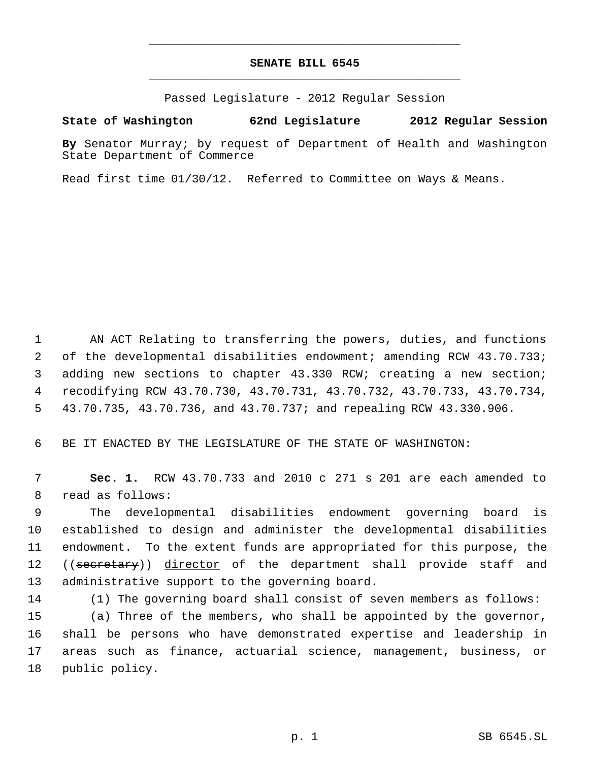## **SENATE BILL 6545** \_\_\_\_\_\_\_\_\_\_\_\_\_\_\_\_\_\_\_\_\_\_\_\_\_\_\_\_\_\_\_\_\_\_\_\_\_\_\_\_\_\_\_\_\_

\_\_\_\_\_\_\_\_\_\_\_\_\_\_\_\_\_\_\_\_\_\_\_\_\_\_\_\_\_\_\_\_\_\_\_\_\_\_\_\_\_\_\_\_\_

Passed Legislature - 2012 Regular Session

## **State of Washington 62nd Legislature 2012 Regular Session**

**By** Senator Murray; by request of Department of Health and Washington State Department of Commerce

Read first time 01/30/12. Referred to Committee on Ways & Means.

 AN ACT Relating to transferring the powers, duties, and functions of the developmental disabilities endowment; amending RCW 43.70.733; adding new sections to chapter 43.330 RCW; creating a new section; recodifying RCW 43.70.730, 43.70.731, 43.70.732, 43.70.733, 43.70.734, 43.70.735, 43.70.736, and 43.70.737; and repealing RCW 43.330.906.

BE IT ENACTED BY THE LEGISLATURE OF THE STATE OF WASHINGTON:

 **Sec. 1.** RCW 43.70.733 and 2010 c 271 s 201 are each amended to read as follows:

 The developmental disabilities endowment governing board is established to design and administer the developmental disabilities endowment. To the extent funds are appropriated for this purpose, the 12 ((secretary)) director of the department shall provide staff and administrative support to the governing board.

 (1) The governing board shall consist of seven members as follows: (a) Three of the members, who shall be appointed by the governor, shall be persons who have demonstrated expertise and leadership in areas such as finance, actuarial science, management, business, or public policy.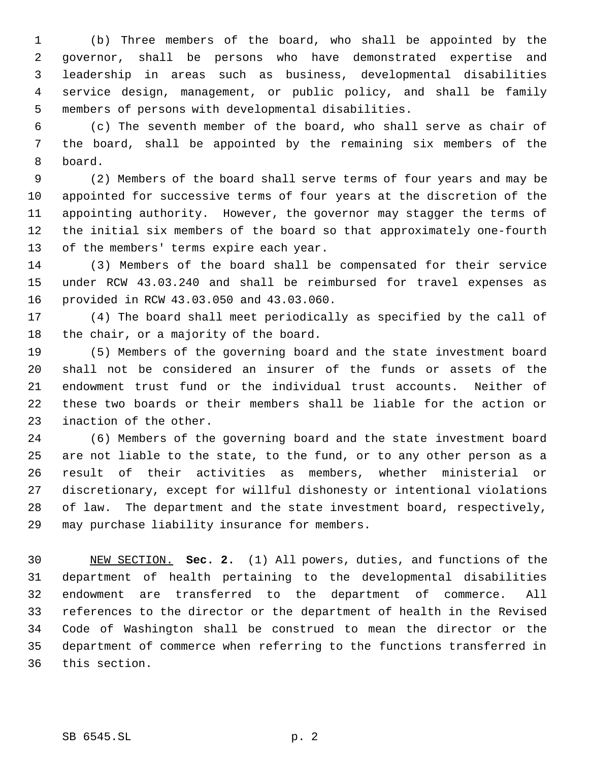(b) Three members of the board, who shall be appointed by the governor, shall be persons who have demonstrated expertise and leadership in areas such as business, developmental disabilities service design, management, or public policy, and shall be family members of persons with developmental disabilities.

 (c) The seventh member of the board, who shall serve as chair of the board, shall be appointed by the remaining six members of the board.

 (2) Members of the board shall serve terms of four years and may be appointed for successive terms of four years at the discretion of the appointing authority. However, the governor may stagger the terms of the initial six members of the board so that approximately one-fourth of the members' terms expire each year.

 (3) Members of the board shall be compensated for their service under RCW 43.03.240 and shall be reimbursed for travel expenses as provided in RCW 43.03.050 and 43.03.060.

 (4) The board shall meet periodically as specified by the call of the chair, or a majority of the board.

 (5) Members of the governing board and the state investment board shall not be considered an insurer of the funds or assets of the endowment trust fund or the individual trust accounts. Neither of these two boards or their members shall be liable for the action or inaction of the other.

 (6) Members of the governing board and the state investment board are not liable to the state, to the fund, or to any other person as a result of their activities as members, whether ministerial or discretionary, except for willful dishonesty or intentional violations of law. The department and the state investment board, respectively, may purchase liability insurance for members.

 NEW SECTION. **Sec. 2.** (1) All powers, duties, and functions of the department of health pertaining to the developmental disabilities endowment are transferred to the department of commerce. All references to the director or the department of health in the Revised Code of Washington shall be construed to mean the director or the department of commerce when referring to the functions transferred in this section.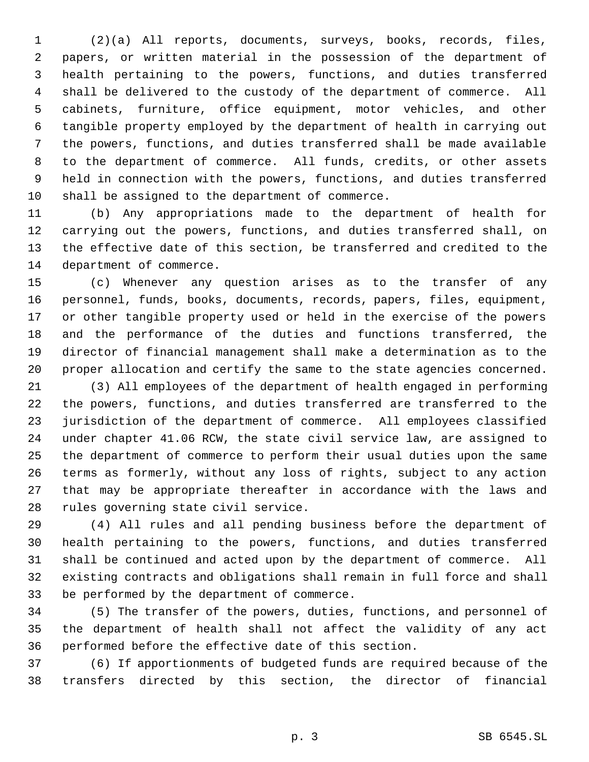(2)(a) All reports, documents, surveys, books, records, files, papers, or written material in the possession of the department of health pertaining to the powers, functions, and duties transferred shall be delivered to the custody of the department of commerce. All cabinets, furniture, office equipment, motor vehicles, and other tangible property employed by the department of health in carrying out the powers, functions, and duties transferred shall be made available to the department of commerce. All funds, credits, or other assets held in connection with the powers, functions, and duties transferred shall be assigned to the department of commerce.

 (b) Any appropriations made to the department of health for carrying out the powers, functions, and duties transferred shall, on the effective date of this section, be transferred and credited to the department of commerce.

 (c) Whenever any question arises as to the transfer of any personnel, funds, books, documents, records, papers, files, equipment, or other tangible property used or held in the exercise of the powers and the performance of the duties and functions transferred, the director of financial management shall make a determination as to the proper allocation and certify the same to the state agencies concerned.

 (3) All employees of the department of health engaged in performing the powers, functions, and duties transferred are transferred to the jurisdiction of the department of commerce. All employees classified under chapter 41.06 RCW, the state civil service law, are assigned to the department of commerce to perform their usual duties upon the same terms as formerly, without any loss of rights, subject to any action that may be appropriate thereafter in accordance with the laws and rules governing state civil service.

 (4) All rules and all pending business before the department of health pertaining to the powers, functions, and duties transferred shall be continued and acted upon by the department of commerce. All existing contracts and obligations shall remain in full force and shall be performed by the department of commerce.

 (5) The transfer of the powers, duties, functions, and personnel of the department of health shall not affect the validity of any act performed before the effective date of this section.

 (6) If apportionments of budgeted funds are required because of the transfers directed by this section, the director of financial